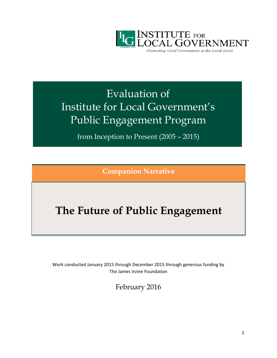

Promoting Good Government at the Local Level

# Evaluation of Institute for Local Government's Public Engagement Program

from Inception to Present (2005 – 2015)

**Companion Narrative**

## **The Future of Public Engagement**

Work conducted January 2015 through December 2015 through generous funding by The James Irvine Foundation

February 2016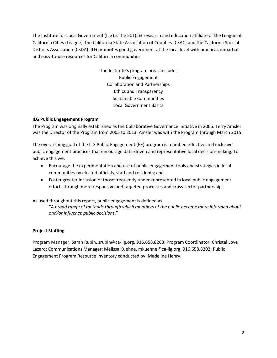The Institute for Local Government (ILG) is the 501(c)3 research and education affiliate of the League of California Cities (League), the California State Association of Counties (CSAC) and the California Special Districts Association (CSDA). ILG promotes good government at the local level with practical, impartial and easy-to-use resources for California communities.

> The Institute's program areas include: Public Engagement Collaboration and Partnerships Ethics and Transparency Sustainable Communities Local Government Basics

#### **ILG Public Engagement Program**

The Program was originally established as the Collaborative Governance Initiative in 2005. Terry Amsler was the Director of the Program from 2005 to 2013. Amsler was with the Program through March 2015.

The overarching goal of the ILG Public Engagement (PE) program is to imbed effective and inclusive public engagement practices that encourage data-driven and representative local decision-making. To achieve this we:

- Encourage the experimentation and use of public engagement tools and strategies in local communities by elected officials, staff and residents; and
- Foster greater inclusion of those frequently under-represented in local public engagement efforts through more responsive and targeted processes and cross-sector partnerships.

As used throughout this report, public engagement is defined as:

"*A broad range of methods through which members of the public become more informed about and/or influence public decisions*."

### **Project Staffing**

Program Manager: Sarah Rubin, srubin@ca-ilg.org, 916.658.8263; Program Coordinator: Christal Love Lazard; Communications Manager: Melissa Kuehne, mkuehne@ca-ilg.org, 916.658.8202; Public Engagement Program Resource Inventory conducted by: Madeline Henry.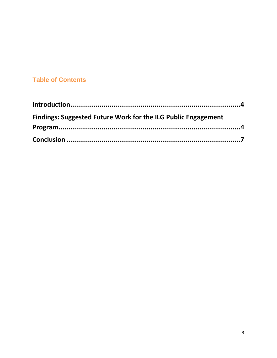## **Table of Contents**

| <b>Findings: Suggested Future Work for the ILG Public Engagement</b> |  |
|----------------------------------------------------------------------|--|
|                                                                      |  |
|                                                                      |  |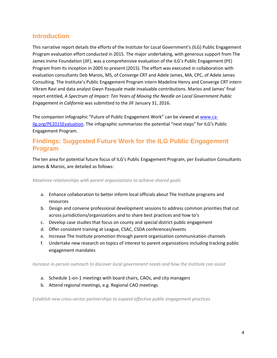## <span id="page-3-0"></span>**Introduction**

This narrative report details the efforts of the Institute for Local Government's (ILG) Public Engagement Program evaluation effort conducted in 2015. The major undertaking, with generous support from The James Irvine Foundation (JIF), was a comprehensive evaluation of the ILG's Public Engagement (PE) Program from its inception in 2005 to present (2015). The effort was executed in collaboration with evaluation consultants Deb Marois, MS, of Converge CRT and Adele James, MA, CPC, of Adele James Consulting. The Institute's Public Engagement Program intern Madeline Henry and Converge CRT intern Vikram Ravi and data analyst Gwyn Pasquale made invaluable contributions. Marios and James' final report entitled, *A Spectrum of Impact: Ten Years of Moving the Needle on Local Government Public Engagement in California* was submitted to the JIF January 31, 2016.

The companion infographic "Future of Public Engagement Work" can be viewed at [www.ca](http://www.ca-ilg.org/PE2015Evaluation)[ilg.org/PE2015Evaluation.](http://www.ca-ilg.org/PE2015Evaluation) The infographic summarizes the potential "next steps" for ILG's Public Engagement Program.

## <span id="page-3-1"></span>**Findings: Suggested Future Work for the ILG Public Engagement Program**

The ten area for potential future focus of ILG's Public Engagement Program, per Evaluation Consultants James & Marois, are detailed as follows:

*Maximize relationships with parent organizations to achieve shared goals*

- a. Enhance collaboration to better inform local officials about The Institute programs and resources
- b. Design and convene professional development sessions to address common priorities that cut across jurisdictions/organizations and to share best practices and how to's
- c. Develop case studies that focus on county and special district public engagement
- d. Offer consistent training at League, CSAC, CSDA conferences/events
- e. Increase The Institute promotion through parent organization communication channels
- f. Undertake new research on topics of interest to parent organizations including tracking public engagement mandates

*Increase in-person outreach to discover local government needs and how the Institute can assist*

- a. Schedule 1-on-1 meetings with board chairs, CAOs, and city managers
- b. Attend regional meetings, e.g. Regional CAO meetings

*Establish new cross-sector partnerships to expand effective public engagement practices*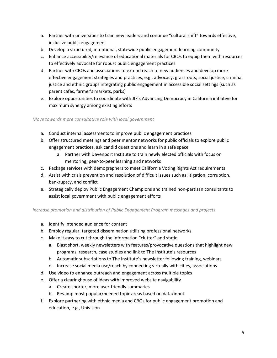- a. Partner with universities to train new leaders and continue "cultural shift" towards effective, inclusive public engagement
- b. Develop a structured, intentional, statewide public engagement learning community
- c. Enhance accessibility/relevance of educational materials for CBOs to equip them with resources to effectively advocate for robust public engagement practices
- d. Partner with CBOs and associations to extend reach to new audiences and develop more effective engagement strategies and practices, e.g., advocacy, grassroots, social justice, criminal justice and ethnic groups integrating public engagement in accessible social settings (such as parent cafes, farmer's markets, parks)
- e. Explore opportunities to coordinate with JIF's Advancing Democracy in California initiative for maximum synergy among existing efforts

*Move towards more consultative role with local government*

- a. Conduct internal assessments to improve public engagement practices
- b. Offer structured meetings and peer mentor networks for public officials to explore public engagement practices, ask candid questions and learn in a safe space
	- a. Partner with Davenport Institute to train newly elected officials with focus on mentoring, peer-to-peer learning and networks
- c. Package services with demographers to meet California Voting Rights Act requirements
- d. Assist with crisis prevention and resolution of difficult issues such as litigation, corruption, bankruptcy, and conflict
- e. Strategically deploy Public Engagement Champions and trained non-partisan consultants to assist local government with public engagement efforts

*Increase promotion and distribution of Public Engagement Program messages and projects*

- a. Identify intended audience for content
- b. Employ regular, targeted dissemination utilizing professional networks
- c. Make it easy to cut through the information "clutter" and static
	- a. Blast short, weekly newsletters with features/provocative questions that highlight new programs, research, case studies and link to The Institute's resources
	- b. Automatic subscriptions to The Institute's newsletter following training, webinars
	- c. Increase social media use/reach by connecting virtually with cities, associations
- d. Use video to enhance outreach and engagement across multiple topics
- e. Offer a clearinghouse of ideas with improved website navigability
	- a. Create shorter, more user-friendly summaries
	- b. Revamp most popular/needed topic areas based on data/input
- f. Explore partnering with ethnic media and CBOs for public engagement promotion and education, e.g., Univision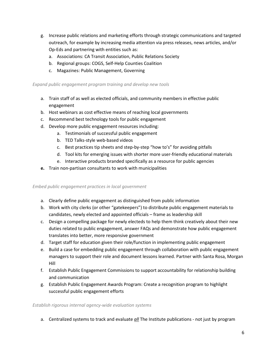- g. Increase public relations and marketing efforts through strategic communications and targeted outreach, for example by increasing media attention via press releases, news articles, and/or Op-Eds and partnering with entities such as:
	- a. Associations: CA Transit Association, Public Relations Society
	- b. Regional groups: COGS, Self-Help Counties Coalition
	- c. Magazines: Public Management, Governing

#### *Expand public engagement program training and develop new tools*

- a. Train staff of as well as elected officials, and community members in effective public engagement
- b. Host webinars as cost effective means of reaching local governments
- c. Recommend best technology tools for public engagement
- d. Develop more public engagement resources including:
	- a. Testimonials of successful public engagement
	- b. TED Talks-style web-based videos
	- c. Best practices tip sheets and step-by-step "how to's" for avoiding pitfalls
	- d. Tool kits for emerging issues with shorter more user-friendly educational materials
	- e. Interactive products branded specifically as a resource for public agencies
- **e.** Train non-partisan consultants to work with municipalities

*Embed public engagement practices in local government*

- a. Clearly define public engagement as distinguished from public information
- b. Work with city clerks (or other "gatekeepers") to distribute public engagement materials to candidates, newly elected and appointed officials – frame as leadership skill
- c. Design a compelling package for newly electeds to help them think creatively about their new duties related to public engagement, answer FAQs and demonstrate how public engagement translates into better, more responsive government
- d. Target staff for education given their role/function in implementing public engagement
- e. Build a case for embedding public engagement through collaboration with public engagement managers to support their role and document lessons learned. Partner with Santa Rosa, Morgan Hill
- f. Establish Public Engagement Commissions to support accountability for relationship building and communication
- g. Establish Public Engagement Awards Program: Create a recognition program to highlight successful public engagement efforts

*Establish rigorous internal agency-wide evaluation systems*

a. Centralized systems to track and evaluate *all* The Institute publications - not just by program